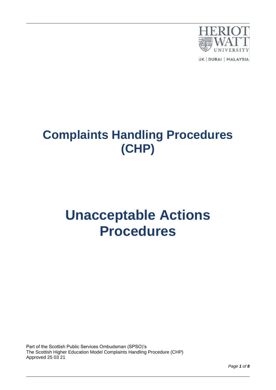

UK | DUBAI | MALAYSIA

## **Complaints Handling Procedures (CHP)**

# **Unacceptable Actions Procedures**

Part of the Scottish Public Services Ombudsman (SPSO)'s The Scottish Higher Education Model Complaints Handling Procedure (CHP) Approved 25 03 21

*Page 1 of 8*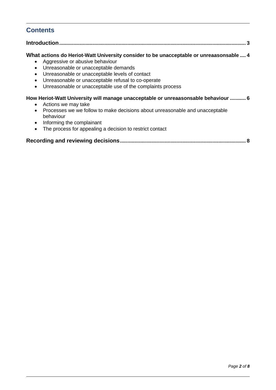## **Contents**

#### **Introduction................................................................................................................................. 3**

#### **What actions do Heriot-Watt University consider to be unacceptable or unreaasonsable .... 4**

- Aggressive or abusive behaviour
- Unreasonable or unacceptable demands
- Unreasonable or unacceptable levels of contact
- Unreasonable or unacceptable refusal to co-operate
- Unreasonable or unacceptable use of the complaints process

#### **How Heriot-Watt University will manage unacceptable or unreaasonsable behaviour ........... 6**

- Actions we may take
- Processes we we follow to make decisions about unreasonable and unacceptable behaviour
- Informing the complainant
- The process for appealing a decision to restrict contact

|--|--|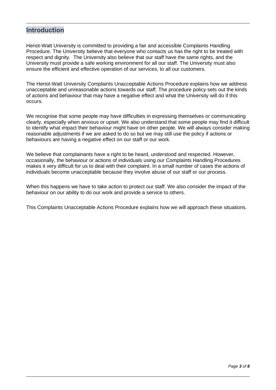## **Introduction**

Heriot-Watt University is committed to providing a fair and accessible Complaints Handling Procedure. The University believe that everyone who contacts us has the right to be treated with respect and dignity. The University also believe that our staff have the same rights, and the University must provide a safe working environment for all our staff. The University must also ensure the efficient and effective operation of our services, to all our customers.

The Heriot-Watt University Complaints Unacceptable Actions Procedure explains how we address unacceptable and unreasonable actions towards our staff. The procedure policy sets out the kinds of actions and behaviour that may have a negative effect and what the University will do if this occurs.

We recognise that some people may have difficulties in expressing themselves or communicating clearly, especially when anxious or upset. We also understand that some people may find it difficult to identify what impact their behaviour might have on other people. We will always consider making reasonable adjustments if we are asked to do so but we may still use the policy if actions or behaviours are having a negative effect on our staff or our work.

We believe that complainants have a right to be heard, understood and respected. However, occasionally, the behaviour or actions of individuals using our Complaints Handling Procedures makes it very difficult for us to deal with their complaint. In a small number of cases the actions of individuals become unacceptable because they involve abuse of our staff or our process.

When this happens we have to take action to protect our staff. We also consider the impact of the behaviour on our ability to do our work and provide a service to others.

This Complaints Unacceptable Actions Procedure explains how we will approach these situations.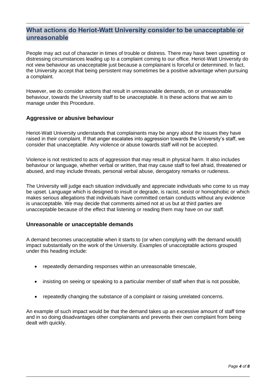## **What actions do Heriot-Watt University consider to be unacceptable or unreasonable**

People may act out of character in times of trouble or distress. There may have been upsetting or distressing circumstances leading up to a complaint coming to our office. Heriot-Watt University do not view behaviour as unacceptable just because a complainant is forceful or determined. In fact, the University accept that being persistent may sometimes be a positive advantage when pursuing a complaint.

However, we do consider actions that result in unreasonable demands, on or unreasonable behaviour, towards the University staff to be unacceptable. It is these actions that we aim to manage under this Procedure.

#### **Aggressive or abusive behaviour**

Heriot-Watt University understands that complainants may be angry about the issues they have raised in their complaint. If that anger escalates into aggression towards the University's staff, we consider that unacceptable. Any violence or abuse towards staff will not be accepted.

Violence is not restricted to acts of aggression that may result in physical harm. It also includes behaviour or language, whether verbal or written, that may cause staff to feel afraid, threatened or abused, and may include threats, personal verbal abuse, derogatory remarks or rudeness.

The University will judge each situation individually and appreciate individuals who come to us may be upset. Language which is designed to insult or degrade, is racist, sexist or homophobic or which makes serious allegations that individuals have committed certain conducts without any evidence is unacceptable. We may decide that comments aimed not at us but at third parties are unacceptable because of the effect that listening or reading them may have on our staff.

#### **Unreasonable or unacceptable demands**

A demand becomes unacceptable when it starts to (or when complying with the demand would) impact substantially on the work of the University. Examples of unacceptable actions grouped under this heading include:

- repeatedly demanding responses within an unreasonable timescale,
- insisting on seeing or speaking to a particular member of staff when that is not possible.
- repeatedly changing the substance of a complaint or raising unrelated concerns.

An example of such impact would be that the demand takes up an excessive amount of staff time and in so doing disadvantages other complainants and prevents their own complaint from being dealt with quickly.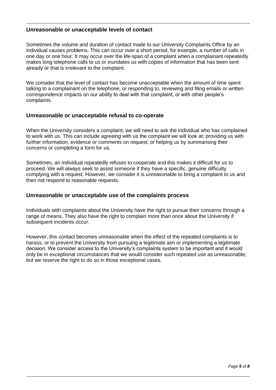#### **Unreasonable or unacceptable levels of contact**

Sometimes the volume and duration of contact made to our University Complaints Office by an individual causes problems. This can occur over a short period, for example, a number of calls in one day or one hour. It may occur over the life-span of a complaint when a complainant repeatedly makes long telephone calls to us or inundates us with copies of information that has been sent already or that is irrelevant to the complaint.

We consider that the level of contact has become unacceptable when the amount of time spent talking to a complainant on the telephone, or responding to, reviewing and filing emails or written correspondence impacts on our ability to deal with that complaint, or with other people's complaints.

#### **Unreasonable or unacceptable refusal to co-operate**

When the University considers a complaint, we will need to ask the individual who has complained to work with us. This can include agreeing with us the complaint we will look at; providing us with further information, evidence or comments on request; or helping us by summarising their concerns or completing a form for us.

Sometimes, an individual repeatedly refuses to cooperate and this makes it difficult for us to proceed. We will always seek to assist someone if they have a specific, genuine difficulty complying with a request. However, we consider it is unreasonable to bring a complaint to us and then not respond to reasonable requests.

#### **Unreasonable or unacceptable use of the complaints process**

Individuals with complaints about the University have the right to pursue their concerns through a range of means. They also have the right to complain more than once about the University if subsequent incidents occur.

However, this contact becomes unreasonable when the effect of the repeated complaints is to harass, or to prevent the University from pursuing a legitimate aim or implementing a legitimate decision. We consider access to the University's complaints system to be important and it would only be in exceptional circumstances that we would consider such repeated use as unreasonable; but we reserve the right to do so in those exceptional cases.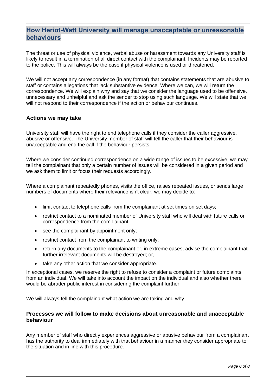## **How Heriot-Watt University will manage unacceptable or unreasonable behaviours**

The threat or use of physical violence, verbal abuse or harassment towards any University staff is likely to result in a termination of all direct contact with the complainant. Incidents may be reported to the police. This will always be the case if physical violence is used or threatened.

We will not accept any correspondence (in any format) that contains statements that are abusive to staff or contains allegations that lack substantive evidence. Where we can, we will return the correspondence. We will explain why and say that we consider the language used to be offensive, unnecessary and unhelpful and ask the sender to stop using such language. We will state that we will not respond to their correspondence if the action or behaviour continues.

#### **Actions we may take**

University staff will have the right to end telephone calls if they consider the caller aggressive, abusive or offensive. The University member of staff will tell the caller that their behaviour is unacceptable and end the call if the behaviour persists.

Where we consider continued correspondence on a wide range of issues to be excessive, we may tell the complainant that only a certain number of issues will be considered in a given period and we ask them to limit or focus their requests accordingly.

Where a complainant repeatedly phones, visits the office, raises repeated issues, or sends large numbers of documents where their relevance isn't clear, we may decide to:

- limit contact to telephone calls from the complainant at set times on set days;
- restrict contact to a nominated member of University staff who will deal with future calls or correspondence from the complainant;
- see the complainant by appointment only;
- restrict contact from the complainant to writing only;
- return any documents to the complainant or, in extreme cases, advise the complainant that further irrelevant documents will be destroyed; or,
- take any other action that we consider appropriate.

In exceptional cases, we reserve the right to refuse to consider a complaint or future complaints from an individual. We will take into account the impact on the individual and also whether there would be abrader public interest in considering the complaint further.

We will always tell the complainant what action we are taking and why.

#### **Processes we will follow to make decisions about unreasonable and unacceptable behaviour**

Any member of staff who directly experiences aggressive or abusive behaviour from a complainant has the authority to deal immediately with that behaviour in a manner they consider appropriate to the situation and in line with this procedure.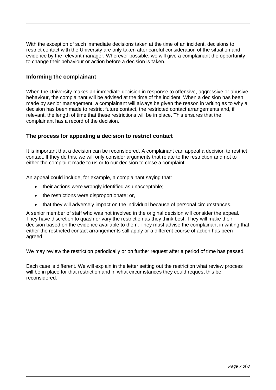With the exception of such immediate decisions taken at the time of an incident, decisions to restrict contact with the University are only taken after careful consideration of the situation and evidence by the relevant manager. Wherever possible, we will give a complainant the opportunity to change their behaviour or action before a decision is taken.

#### **Informing the complainant**

When the University makes an immediate decision in response to offensive, aggressive or abusive behaviour, the complainant will be advised at the time of the incident. When a decision has been made by senior management, a complainant will always be given the reason in writing as to why a decision has been made to restrict future contact, the restricted contact arrangements and, if relevant, the length of time that these restrictions will be in place. This ensures that the complainant has a record of the decision.

#### **The process for appealing a decision to restrict contact**

It is important that a decision can be reconsidered. A complainant can appeal a decision to restrict contact. If they do this, we will only consider arguments that relate to the restriction and not to either the complaint made to us or to our decision to close a complaint.

An appeal could include, for example, a complainant saying that:

- their actions were wrongly identified as unacceptable;
- the restrictions were disproportionate; or,
- that they will adversely impact on the individual because of personal circumstances.

A senior member of staff who was not involved in the original decision will consider the appeal. They have discretion to quash or vary the restriction as they think best. They will make their decision based on the evidence available to them. They must advise the complainant in writing that either the restricted contact arrangements still apply or a different course of action has been agreed.

We may review the restriction periodically or on further request after a period of time has passed.

Each case is different. We will explain in the letter setting out the restriction what review process will be in place for that restriction and in what circumstances they could request this be reconsidered.